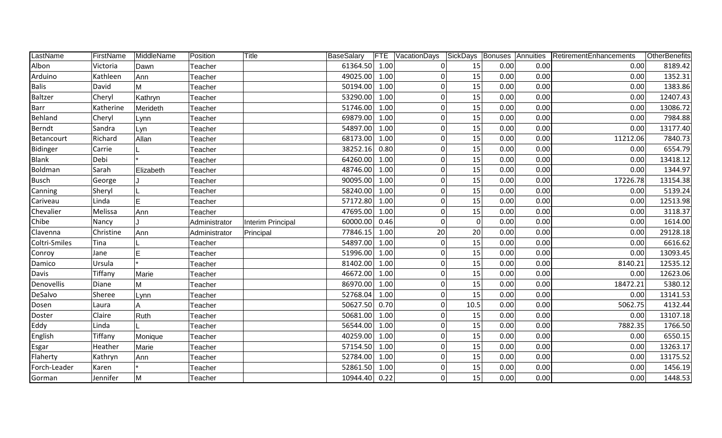| LastName      | FirstName | MiddleName | Position       | <b>Title</b>      | BaseSalary    |      | <b>FTE</b> VacationDays SickDays Bonuses Annuities |          |      |      | RetirementEnhancements | OtherBenefits |
|---------------|-----------|------------|----------------|-------------------|---------------|------|----------------------------------------------------|----------|------|------|------------------------|---------------|
| Albon         | Victoria  | Dawn       | <b>Teacher</b> |                   | 61364.50 1.00 |      | $\Omega$                                           | 15       | 0.00 | 0.00 | 0.00                   | 8189.42       |
| Arduino       | Kathleen  | Ann        | Teacher        |                   | 49025.00      | 1.00 | $\mathbf 0$                                        | 15       | 0.00 | 0.00 | 0.00                   | 1352.31       |
| <b>Balis</b>  | David     | M          | Teacher        |                   | 50194.00      | 1.00 | $\mathbf 0$                                        | 15       | 0.00 | 0.00 | 0.00                   | 1383.86       |
| Baltzer       | Cheryl    | Kathryn    | Teacher        |                   | 53290.00      | 1.00 | 0                                                  | 15       | 0.00 | 0.00 | 0.00                   | 12407.43      |
| Barr          | Katherine | Merideth   | Teacher        |                   | 51746.00      | 1.00 | $\mathbf 0$                                        | 15       | 0.00 | 0.00 | 0.00                   | 13086.72      |
| Behland       | Cheryl    | Lynn       | Teacher        |                   | 69879.00      | 1.00 | $\mathbf 0$                                        | 15       | 0.00 | 0.00 | 0.00                   | 7984.88       |
| Berndt        | Sandra    | Lyn        | Teacher        |                   | 54897.00      | 1.00 | $\Omega$                                           | 15       | 0.00 | 0.00 | 0.00                   | 13177.40      |
| Betancourt    | Richard   | Allan      | Teacher        |                   | 68173.00      | 1.00 | $\mathbf 0$                                        | 15       | 0.00 | 0.00 | 11212.06               | 7840.73       |
| Bidinger      | Carrie    |            | Teacher        |                   | 38252.16      | 0.80 | 0                                                  | 15       | 0.00 | 0.00 | 0.00                   | 6554.79       |
| <b>Blank</b>  | Debi      |            | Teacher        |                   | 64260.00      | 1.00 | $\mathbf 0$                                        | 15       | 0.00 | 0.00 | 0.00                   | 13418.12      |
| Boldman       | Sarah     | Elizabeth  | Teacher        |                   | 48746.00      | 1.00 | $\mathbf 0$                                        | 15       | 0.00 | 0.00 | 0.00                   | 1344.97       |
| <b>Busch</b>  | George    |            | Teacher        |                   | 90095.00      | 1.00 | $\mathbf 0$                                        | 15       | 0.00 | 0.00 | 17226.78               | 13154.38      |
| Canning       | Sheryl    |            | Teacher        |                   | 58240.00      | 1.00 | $\mathbf 0$                                        | 15       | 0.00 | 0.00 | 0.00                   | 5139.24       |
| Cariveau      | Linda     | E          | Teacher        |                   | 57172.80      | 1.00 | $\mathbf 0$                                        | 15       | 0.00 | 0.00 | 0.00                   | 12513.98      |
| Chevalier     | Melissa   | Ann        | Teacher        |                   | 47695.00      | 1.00 | $\mathbf 0$                                        | 15       | 0.00 | 0.00 | 0.00                   | 3118.37       |
| Chibe         | Nancy     |            | Administrator  | Interim Principal | 60000.00      | 0.46 | $\Omega$                                           | $\Omega$ | 0.00 | 0.00 | 0.00                   | 1614.00       |
| Clavenna      | Christine | Ann        | Administrator  | Principal         | 77846.15      | 1.00 | 20                                                 | 20       | 0.00 | 0.00 | 0.00                   | 29128.18      |
| Coltri-Smiles | Tina      |            | Teacher        |                   | 54897.00      | 1.00 | $\overline{0}$                                     | 15       | 0.00 | 0.00 | 0.00                   | 6616.62       |
| Conroy        | Jane      | E          | Teacher        |                   | 51996.00      | 1.00 | $\mathbf{0}$                                       | 15       | 0.00 | 0.00 | 0.00                   | 13093.45      |
| Damico        | Ursula    |            | Teacher        |                   | 81402.00      | 1.00 | $\pmb{0}$                                          | 15       | 0.00 | 0.00 | 8140.21                | 12535.12      |
| Davis         | Tiffany   | Marie      | <b>Teacher</b> |                   | 46672.00      | 1.00 | $\mathbf 0$                                        | 15       | 0.00 | 0.00 | 0.00                   | 12623.06      |
| Denovellis    | Diane     | M          | Teacher        |                   | 86970.00      | 1.00 | $\mathbf{0}$                                       | 15       | 0.00 | 0.00 | 18472.21               | 5380.12       |
| DeSalvo       | Sheree    | Lynn       | Teacher        |                   | 52768.04      | 1.00 | $\mathbf 0$                                        | 15       | 0.00 | 0.00 | 0.00                   | 13141.53      |
| Dosen         | Laura     | A          | Teacher        |                   | 50627.50      | 0.70 | $\Omega$                                           | 10.5     | 0.00 | 0.00 | 5062.75                | 4132.44       |
| Doster        | Claire    | Ruth       | <b>Teacher</b> |                   | 50681.00      | 1.00 | $\mathbf 0$                                        | 15       | 0.00 | 0.00 | 0.00                   | 13107.18      |
| Eddy          | Linda     |            | Teacher        |                   | 56544.00      | 1.00 | $\mathbf 0$                                        | 15       | 0.00 | 0.00 | 7882.35                | 1766.50       |
| English       | Tiffany   | Monique    | Teacher        |                   | 40259.00      | 1.00 | $\mathbf 0$                                        | 15       | 0.00 | 0.00 | 0.00                   | 6550.15       |
| Esgar         | Heather   | Marie      | Teacher        |                   | 57154.50      | 1.00 | $\mathbf 0$                                        | 15       | 0.00 | 0.00 | 0.00                   | 13263.17      |
| Flaherty      | Kathryn   | Ann        | Teacher        |                   | 52784.00      | 1.00 | $\mathbf 0$                                        | 15       | 0.00 | 0.00 | 0.00                   | 13175.52      |
| Forch-Leader  | Karen     |            | Teacher        |                   | 52861.50      | 1.00 | $\mathbf{0}$                                       | 15       | 0.00 | 0.00 | 0.00                   | 1456.19       |
| Gorman        | Jennifer  | M          | Teacher        |                   | 10944.40 0.22 |      | $\overline{0}$                                     | 15       | 0.00 | 0.00 | 0.00                   | 1448.53       |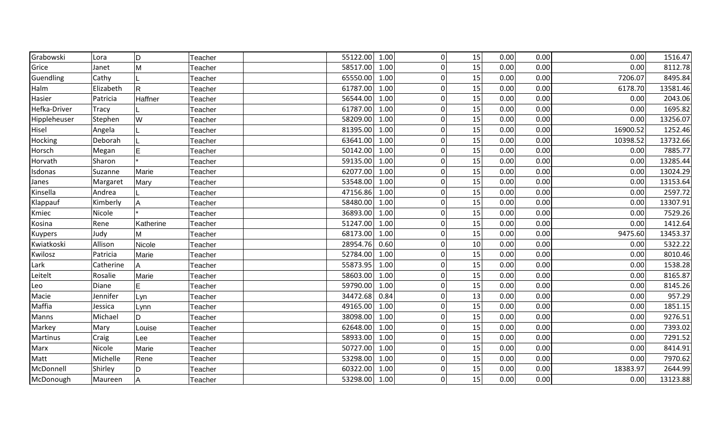| Grabowski    | Lora         | D              | Teacher | 55122.00 | 1.00 | $\overline{0}$   | 15 | 0.00 | 0.00 | 0.00     | 1516.47  |
|--------------|--------------|----------------|---------|----------|------|------------------|----|------|------|----------|----------|
| Grice        | Janet        | M              | Teacher | 58517.00 | 1.00 | $\mathbf 0$      | 15 | 0.00 | 0.00 | 0.00     | 8112.78  |
| Guendling    | Cathy        |                | Teacher | 65550.00 | 1.00 | $\boldsymbol{0}$ | 15 | 0.00 | 0.00 | 7206.07  | 8495.84  |
| Halm         | Elizabeth    | $\overline{R}$ | Teacher | 61787.00 | 1.00 | $\mathbf 0$      | 15 | 0.00 | 0.00 | 6178.70  | 13581.46 |
| Hasier       | Patricia     | Haffner        | Teacher | 56544.00 | 1.00 | $\mathbf 0$      | 15 | 0.00 | 0.00 | 0.00     | 2043.06  |
| Hefka-Driver | <b>Tracy</b> |                | Teacher | 61787.00 | 1.00 | $\boldsymbol{0}$ | 15 | 0.00 | 0.00 | 0.00     | 1695.82  |
| Hippleheuser | Stephen      | lw             | Teacher | 58209.00 | 1.00 | $\mathbf 0$      | 15 | 0.00 | 0.00 | 0.00     | 13256.07 |
| Hisel        | Angela       |                | Teacher | 81395.00 | 1.00 | $\mathbf 0$      | 15 | 0.00 | 0.00 | 16900.52 | 1252.46  |
| Hocking      | Deborah      | L              | Teacher | 63641.00 | 1.00 | $\mathbf 0$      | 15 | 0.00 | 0.00 | 10398.52 | 13732.66 |
| Horsch       | Megan        | E              | Teacher | 50142.00 | 1.00 | $\mathbf 0$      | 15 | 0.00 | 0.00 | 0.00     | 7885.77  |
| Horvath      | Sharon       |                | Teacher | 59135.00 | 1.00 | $\mathbf 0$      | 15 | 0.00 | 0.00 | 0.00     | 13285.44 |
| Isdonas      | Suzanne      | Marie          | Teacher | 62077.00 | 1.00 | $\mathbf 0$      | 15 | 0.00 | 0.00 | 0.00     | 13024.29 |
| Janes        | Margaret     | Mary           | Teacher | 53548.00 | 1.00 | $\mathbf 0$      | 15 | 0.00 | 0.00 | 0.00     | 13153.64 |
| Kinsella     | Andrea       | L              | Teacher | 47156.86 | 1.00 | $\mathbf 0$      | 15 | 0.00 | 0.00 | 0.00     | 2597.72  |
| Klappauf     | Kimberly     | A              | Teacher | 58480.00 | 1.00 | $\mathbf 0$      | 15 | 0.00 | 0.00 | 0.00     | 13307.91 |
| Kmiec        | Nicole       |                | Teacher | 36893.00 | 1.00 | 0                | 15 | 0.00 | 0.00 | 0.00     | 7529.26  |
| Kosina       | Rene         | Katherine      | Teacher | 51247.00 | 1.00 | $\overline{0}$   | 15 | 0.00 | 0.00 | 0.00     | 1412.64  |
| Kuypers      | Judy         | M              | Teacher | 68173.00 | 1.00 | $\mathbf 0$      | 15 | 0.00 | 0.00 | 9475.60  | 13453.37 |
| Kwiatkoski   | Allison      | Nicole         | Teacher | 28954.76 | 0.60 | $\Omega$         | 10 | 0.00 | 0.00 | 0.00     | 5322.22  |
| Kwilosz      | Patricia     | Marie          | Teacher | 52784.00 | 1.00 | $\mathbf 0$      | 15 | 0.00 | 0.00 | 0.00     | 8010.46  |
| Lark         | Catherine    | A              | Teacher | 55873.95 | 1.00 | $\boldsymbol{0}$ | 15 | 0.00 | 0.00 | 0.00     | 1538.28  |
| Leitelt      | Rosalie      | Marie          | Teacher | 58603.00 | 1.00 | $\mathbf 0$      | 15 | 0.00 | 0.00 | 0.00     | 8165.87  |
| Leo          | Diane        | E              | Teacher | 59790.00 | 1.00 | $\mathbf 0$      | 15 | 0.00 | 0.00 | 0.00     | 8145.26  |
| Macie        | Jennifer     | Lyn            | Teacher | 34472.68 | 0.84 | $\mathbf 0$      | 13 | 0.00 | 0.00 | 0.00     | 957.29   |
| Maffia       | Jessica      | Lynn           | Teacher | 49165.00 | 1.00 | $\Omega$         | 15 | 0.00 | 0.00 | 0.00     | 1851.15  |
| Manns        | Michael      | D              | Teacher | 38098.00 | 1.00 | $\mathbf 0$      | 15 | 0.00 | 0.00 | 0.00     | 9276.51  |
| Markey       | Mary         | Louise         | Teacher | 62648.00 | 1.00 | $\mathbf 0$      | 15 | 0.00 | 0.00 | 0.00     | 7393.02  |
| Martinus     | Craig        | Lee            | Teacher | 58933.00 | 1.00 | $\mathbf 0$      | 15 | 0.00 | 0.00 | 0.00     | 7291.52  |
| Marx         | Nicole       | Marie          | Teacher | 50727.00 | 1.00 | $\overline{0}$   | 15 | 0.00 | 0.00 | 0.00     | 8414.91  |
| Matt         | Michelle     | Rene           | Teacher | 53298.00 | 1.00 | $\mathbf 0$      | 15 | 0.00 | 0.00 | 0.00     | 7970.62  |
| McDonnell    | Shirley      | D              | Teacher | 60322.00 | 1.00 | 0                | 15 | 0.00 | 0.00 | 18383.97 | 2644.99  |
| McDonough    | Maureen      | $\overline{A}$ | Teacher | 53298.00 | 1.00 | $\mathbf 0$      | 15 | 0.00 | 0.00 | 0.00     | 13123.88 |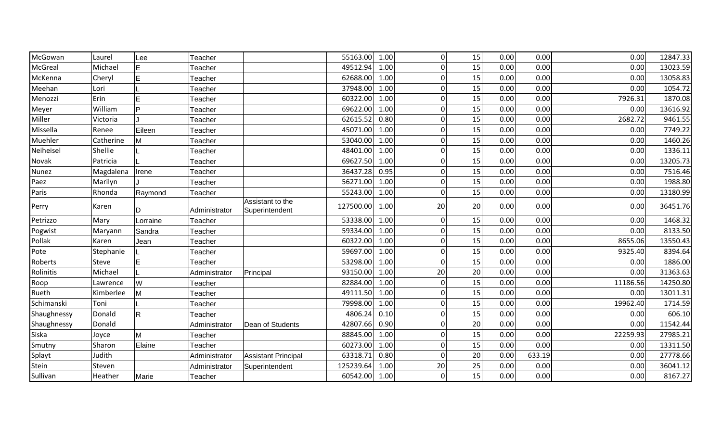| McGowan      | Laurel    | Lee      | Teacher       |                                    | 55163.00  | 1.00 | $\Omega$       | 15 | 0.00 | 0.00   | 0.00     | 12847.33 |
|--------------|-----------|----------|---------------|------------------------------------|-----------|------|----------------|----|------|--------|----------|----------|
| McGreal      | Michael   | E        | Teacher       |                                    | 49512.94  | 1.00 | 0              | 15 | 0.00 | 0.00   | 0.00     | 13023.59 |
| McKenna      | Cheryl    | E        | Teacher       |                                    | 62688.00  | 1.00 | 0              | 15 | 0.00 | 0.00   | 0.00     | 13058.83 |
| Meehan       | Lori      |          | Teacher       |                                    | 37948.00  | 1.00 | $\Omega$       | 15 | 0.00 | 0.00   | 0.00     | 1054.72  |
| Menozzi      | Erin      | E        | Teacher       |                                    | 60322.00  | 1.00 | $\mathbf 0$    | 15 | 0.00 | 0.00   | 7926.31  | 1870.08  |
| Meyer        | William   | P        | Teacher       |                                    | 69622.00  | 1.00 | $\mathbf 0$    | 15 | 0.00 | 0.00   | 0.00     | 13616.92 |
| Miller       | Victoria  |          | Teacher       |                                    | 62615.52  | 0.80 | $\mathbf 0$    | 15 | 0.00 | 0.00   | 2682.72  | 9461.55  |
| Missella     | Renee     | Eileen   | Teacher       |                                    | 45071.00  | 1.00 | 0              | 15 | 0.00 | 0.00   | 0.00     | 7749.22  |
| Muehler      | Catherine | M        | Teacher       |                                    | 53040.00  | 1.00 | 0              | 15 | 0.00 | 0.00   | 0.00     | 1460.26  |
| Neiheisel    | Shellie   |          | Teacher       |                                    | 48401.00  | 1.00 | $\mathbf 0$    | 15 | 0.00 | 0.00   | 0.00     | 1336.11  |
| Novak        | Patricia  |          | Teacher       |                                    | 69627.50  | 1.00 | $\mathbf{0}$   | 15 | 0.00 | 0.00   | 0.00     | 13205.73 |
| Nunez        | Magdalena | Irene    | Teacher       |                                    | 36437.28  | 0.95 | 0              | 15 | 0.00 | 0.00   | 0.00     | 7516.46  |
| Paez         | Marilyn   |          | Teacher       |                                    | 56271.00  | 1.00 | $\overline{0}$ | 15 | 0.00 | 0.00   | 0.00     | 1988.80  |
| Paris        | Rhonda    | Raymond  | Teacher       |                                    | 55243.00  | 1.00 | $\mathbf 0$    | 15 | 0.00 | 0.00   | 0.00     | 13180.99 |
| Perry        | Karen     | lD       | Administrator | Assistant to the<br>Superintendent | 127500.00 | 1.00 | 20             | 20 | 0.00 | 0.00   | 0.00     | 36451.76 |
| Petrizzo     | Mary      | Lorraine | Teacher       |                                    | 53338.00  | 1.00 | 0              | 15 | 0.00 | 0.00   | 0.00     | 1468.32  |
| Pogwist      | Maryann   | Sandra   | Teacher       |                                    | 59334.00  | 1.00 | $\mathbf 0$    | 15 | 0.00 | 0.00   | 0.00     | 8133.50  |
| Pollak       | Karen     | Jean     | Teacher       |                                    | 60322.00  | 1.00 | $\mathbf 0$    | 15 | 0.00 | 0.00   | 8655.06  | 13550.43 |
| Pote         | Stephanie |          | Teacher       |                                    | 59697.00  | 1.00 | $\Omega$       | 15 | 0.00 | 0.00   | 9325.40  | 8394.64  |
| Roberts      | Steve     | E        | Teacher       |                                    | 53298.00  | 1.00 | $\mathbf{0}$   | 15 | 0.00 | 0.00   | 0.00     | 1886.00  |
| Rolinitis    | Michael   |          | Administrator | Principal                          | 93150.00  | 1.00 | 20             | 20 | 0.00 | 0.00   | 0.00     | 31363.63 |
| Roop         | Lawrence  | W        | Teacher       |                                    | 82884.00  | 1.00 | $\Omega$       | 15 | 0.00 | 0.00   | 11186.56 | 14250.80 |
| Rueth        | Kimberlee | İМ       | Teacher       |                                    | 49111.50  | 1.00 | $\mathbf 0$    | 15 | 0.00 | 0.00   | 0.00     | 13011.31 |
| Schimanski   | Toni      |          | Teacher       |                                    | 79998.00  | 1.00 | $\Omega$       | 15 | 0.00 | 0.00   | 19962.40 | 1714.59  |
| Shaughnessy  | Donald    | R.       | Teacher       |                                    | 4806.24   | 0.10 | $\mathbf{0}$   | 15 | 0.00 | 0.00   | 0.00     | 606.10   |
| Shaughnessy  | Donald    |          | Administrator | Dean of Students                   | 42807.66  | 0.90 | $\mathbf 0$    | 20 | 0.00 | 0.00   | 0.00     | 11542.44 |
| Siska        | Joyce     | lм       | Teacher       |                                    | 88845.00  | 1.00 | 0              | 15 | 0.00 | 0.00   | 22259.93 | 27985.21 |
| Smutny       | Sharon    | Elaine   | Teacher       |                                    | 60273.00  | 1.00 | $\overline{0}$ | 15 | 0.00 | 0.00   | 0.00     | 13311.50 |
| Splayt       | Judith    |          | Administrator | <b>Assistant Principal</b>         | 63318.71  | 0.80 | $\mathbf 0$    | 20 | 0.00 | 633.19 | 0.00     | 27778.66 |
| <b>Stein</b> | Steven    |          | Administrator | Superintendent                     | 125239.64 | 1.00 | 20             | 25 | 0.00 | 0.00   | 0.00     | 36041.12 |
| Sullivan     | Heather   | Marie    | Teacher       |                                    | 60542.00  | 1.00 | 0              | 15 | 0.00 | 0.00   | 0.00     | 8167.27  |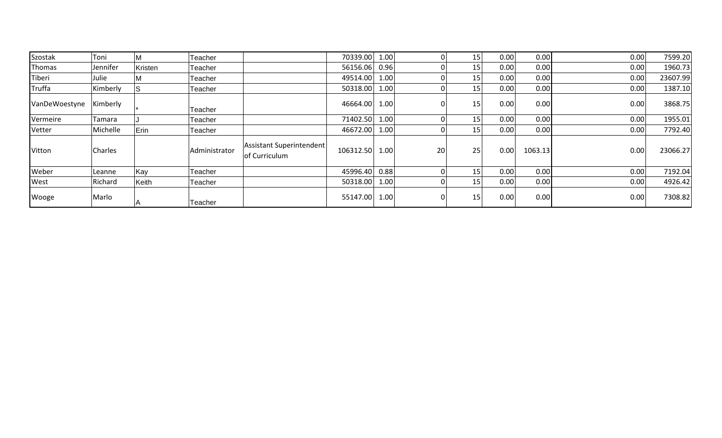| Szostak       | Toni     | м       | Teacher       |                                           | 70339.00  | 1.00 |    | 15 | 0.00 | 0.00    | 0.00 | 7599.20  |
|---------------|----------|---------|---------------|-------------------------------------------|-----------|------|----|----|------|---------|------|----------|
| Thomas        | Jennifer | Kristen | Teacher       |                                           | 56156.06  | 0.96 |    | 15 | 0.00 | 0.00    | 0.00 | 1960.73  |
| Tiberi        | Julie    | M       | Teacher       |                                           | 49514.00  | 1.00 |    | 15 | 0.00 | 0.00    | 0.00 | 23607.99 |
| Truffa        | Kimberly |         | Teacher       |                                           | 50318.00  | 1.00 |    | 15 | 0.00 | 0.00    | 0.00 | 1387.10  |
| VanDeWoestyne | Kimberly |         | Teacher       |                                           | 46664.00  | 1.00 |    | 15 | 0.00 | 0.00    | 0.00 | 3868.75  |
| Vermeire      | Tamara   |         | Teacher       |                                           | 71402.50  | 1.00 |    | 15 | 0.00 | 0.00    | 0.00 | 1955.01  |
| Vetter        | Michelle | Erin    | Teacher       |                                           | 46672.00  | 1.00 |    | 15 | 0.00 | 0.00    | 0.00 | 7792.40  |
| Vitton        | Charles  |         | Administrator | Assistant Superintendent<br>of Curriculum | 106312.50 | 1.00 | 20 | 25 | 0.00 | 1063.13 | 0.00 | 23066.27 |
| Weber         | Leanne   | Kay     | Teacher       |                                           | 45996.40  | 0.88 |    | 15 | 0.00 | 0.00    | 0.00 | 7192.04  |
| West          | Richard  | Keith   | Teacher       |                                           | 50318.00  | 1.00 |    | 15 | 0.00 | 0.00    | 0.00 | 4926.42  |
| Wooge         | Marlo    |         | Teacher       |                                           | 55147.00  | 1.00 |    | 15 | 0.00 | 0.00    | 0.00 | 7308.82  |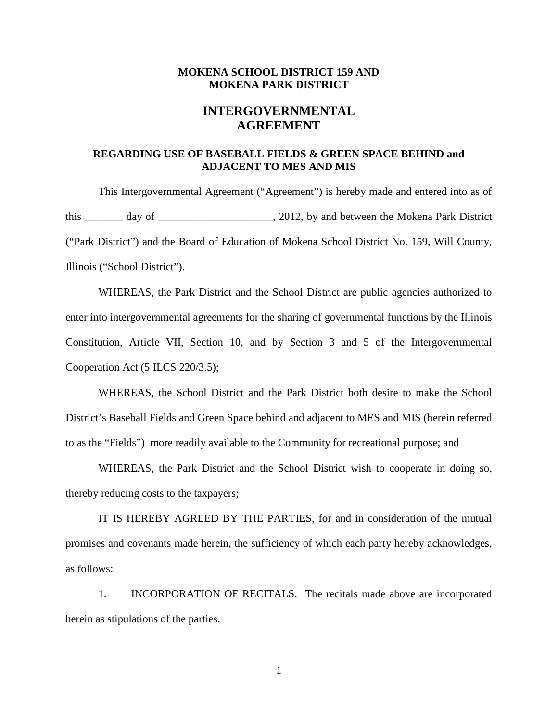#### **MOKENA SCHOOL DISTRICT 159 AND MOKENA PARK DISTRICT**

# **INTERGOVERNMENTAL AGREEMENT**

### **REGARDING USE OF BASEBALL FIELDS & GREEN SPACE BEHIND and ADJACENT TO MES AND MIS**

This Intergovernmental Agreement ("Agreement") is hereby made and entered into as of this \_\_\_\_\_\_\_ day of \_\_\_\_\_\_\_\_\_\_\_\_\_\_\_\_\_\_\_\_\_, 2012, by and between the Mokena Park District ("Park District") and the Board of Education of Mokena School District No. 159, Will County, Illinois ("School District").

WHEREAS, the Park District and the School District are public agencies authorized to enter into intergovernmental agreements for the sharing of governmental functions by the Illinois Constitution, Article VII, Section 10, and by Section 3 and 5 of the Intergovernmental Cooperation Act (5 ILCS 220/3.5);

WHEREAS, the School District and the Park District both desire to make the School District's Baseball Fields and Green Space behind and adjacent to MES and MIS (herein referred to as the "Fields") more readily available to the Community for recreational purpose; and

WHEREAS, the Park District and the School District wish to cooperate in doing so, thereby reducing costs to the taxpayers;

IT IS HEREBY AGREED BY THE PARTIES, for and in consideration of the mutual promises and covenants made herein, the sufficiency of which each party hereby acknowledges, as follows:

1. INCORPORATION OF RECITALS. The recitals made above are incorporated herein as stipulations of the parties.

1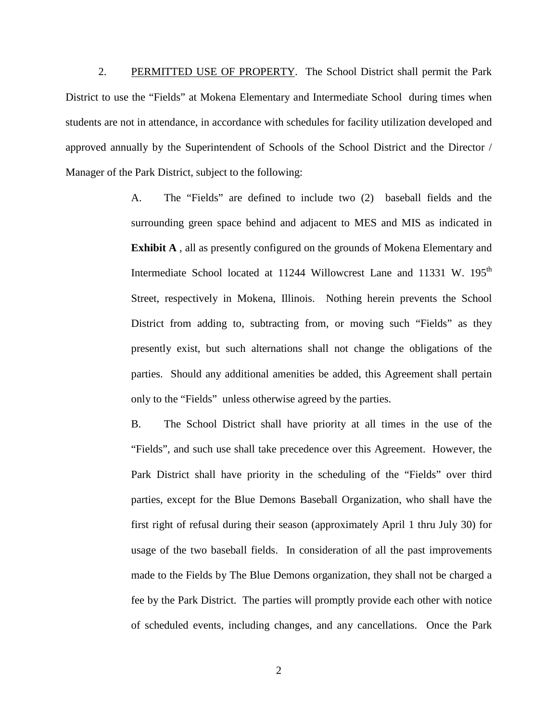2. PERMITTED USE OF PROPERTY. The School District shall permit the Park District to use the "Fields" at Mokena Elementary and Intermediate School during times when students are not in attendance, in accordance with schedules for facility utilization developed and approved annually by the Superintendent of Schools of the School District and the Director / Manager of the Park District, subject to the following:

> A. The "Fields" are defined to include two (2) baseball fields and the surrounding green space behind and adjacent to MES and MIS as indicated in **Exhibit A** , all as presently configured on the grounds of Mokena Elementary and Intermediate School located at 11244 Willowcrest Lane and 11331 W. 195<sup>th</sup> Street, respectively in Mokena, Illinois. Nothing herein prevents the School District from adding to, subtracting from, or moving such "Fields" as they presently exist, but such alternations shall not change the obligations of the parties. Should any additional amenities be added, this Agreement shall pertain only to the "Fields" unless otherwise agreed by the parties.

> B. The School District shall have priority at all times in the use of the "Fields", and such use shall take precedence over this Agreement. However, the Park District shall have priority in the scheduling of the "Fields" over third parties, except for the Blue Demons Baseball Organization, who shall have the first right of refusal during their season (approximately April 1 thru July 30) for usage of the two baseball fields. In consideration of all the past improvements made to the Fields by The Blue Demons organization, they shall not be charged a fee by the Park District. The parties will promptly provide each other with notice of scheduled events, including changes, and any cancellations. Once the Park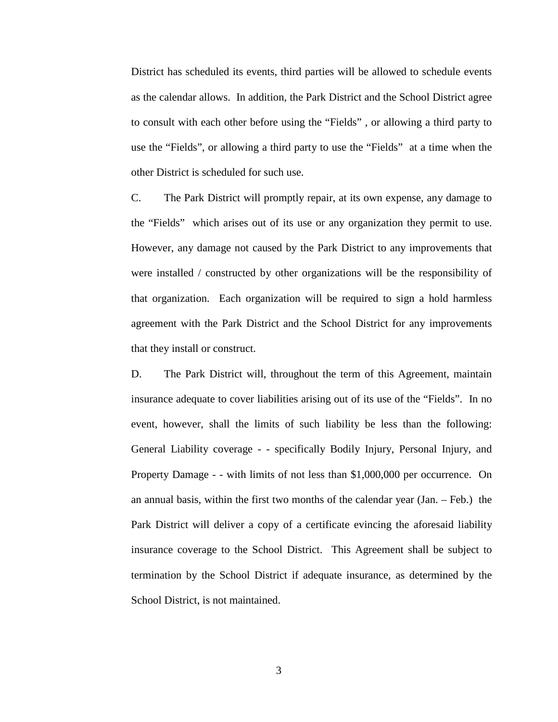District has scheduled its events, third parties will be allowed to schedule events as the calendar allows. In addition, the Park District and the School District agree to consult with each other before using the "Fields" , or allowing a third party to use the "Fields", or allowing a third party to use the "Fields" at a time when the other District is scheduled for such use.

C. The Park District will promptly repair, at its own expense, any damage to the "Fields" which arises out of its use or any organization they permit to use. However, any damage not caused by the Park District to any improvements that were installed / constructed by other organizations will be the responsibility of that organization. Each organization will be required to sign a hold harmless agreement with the Park District and the School District for any improvements that they install or construct.

D. The Park District will, throughout the term of this Agreement, maintain insurance adequate to cover liabilities arising out of its use of the "Fields". In no event, however, shall the limits of such liability be less than the following: General Liability coverage - - specifically Bodily Injury, Personal Injury, and Property Damage - - with limits of not less than \$1,000,000 per occurrence. On an annual basis, within the first two months of the calendar year (Jan. – Feb.) the Park District will deliver a copy of a certificate evincing the aforesaid liability insurance coverage to the School District. This Agreement shall be subject to termination by the School District if adequate insurance, as determined by the School District, is not maintained.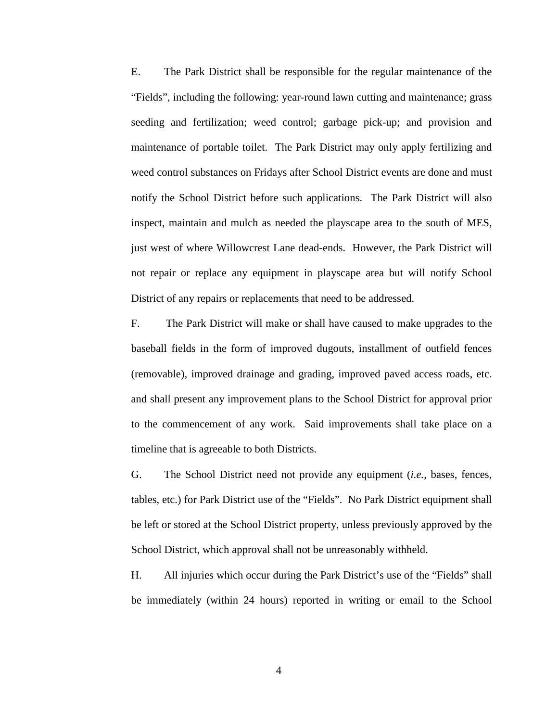E. The Park District shall be responsible for the regular maintenance of the "Fields", including the following: year-round lawn cutting and maintenance; grass seeding and fertilization; weed control; garbage pick-up; and provision and maintenance of portable toilet. The Park District may only apply fertilizing and weed control substances on Fridays after School District events are done and must notify the School District before such applications. The Park District will also inspect, maintain and mulch as needed the playscape area to the south of MES, just west of where Willowcrest Lane dead-ends. However, the Park District will not repair or replace any equipment in playscape area but will notify School District of any repairs or replacements that need to be addressed.

F. The Park District will make or shall have caused to make upgrades to the baseball fields in the form of improved dugouts, installment of outfield fences (removable), improved drainage and grading, improved paved access roads, etc. and shall present any improvement plans to the School District for approval prior to the commencement of any work. Said improvements shall take place on a timeline that is agreeable to both Districts.

G. The School District need not provide any equipment (*i.e.*, bases, fences, tables, etc.) for Park District use of the "Fields". No Park District equipment shall be left or stored at the School District property, unless previously approved by the School District, which approval shall not be unreasonably withheld.

H. All injuries which occur during the Park District's use of the "Fields" shall be immediately (within 24 hours) reported in writing or email to the School

4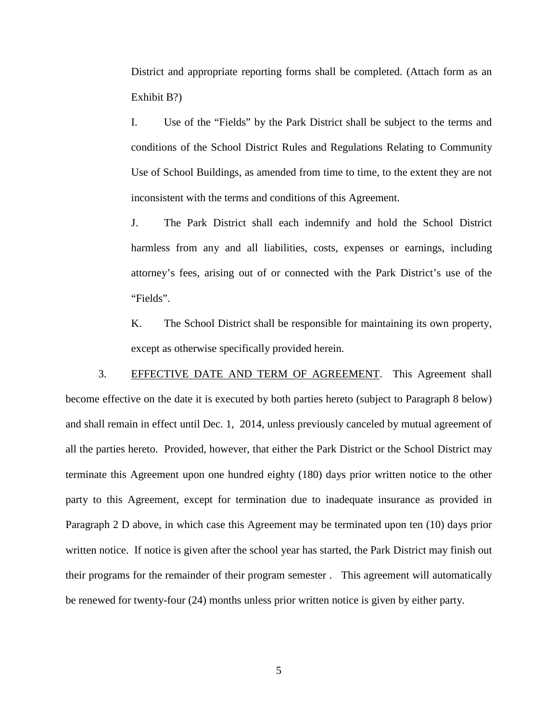District and appropriate reporting forms shall be completed. (Attach form as an Exhibit B?)

I. Use of the "Fields" by the Park District shall be subject to the terms and conditions of the School District Rules and Regulations Relating to Community Use of School Buildings, as amended from time to time, to the extent they are not inconsistent with the terms and conditions of this Agreement.

J. The Park District shall each indemnify and hold the School District harmless from any and all liabilities, costs, expenses or earnings, including attorney's fees, arising out of or connected with the Park District's use of the "Fields".

K. The School District shall be responsible for maintaining its own property, except as otherwise specifically provided herein.

3. EFFECTIVE DATE AND TERM OF AGREEMENT. This Agreement shall become effective on the date it is executed by both parties hereto (subject to Paragraph 8 below) and shall remain in effect until Dec. 1, 2014, unless previously canceled by mutual agreement of all the parties hereto. Provided, however, that either the Park District or the School District may terminate this Agreement upon one hundred eighty (180) days prior written notice to the other party to this Agreement, except for termination due to inadequate insurance as provided in Paragraph 2 D above, in which case this Agreement may be terminated upon ten (10) days prior written notice. If notice is given after the school year has started, the Park District may finish out their programs for the remainder of their program semester . This agreement will automatically be renewed for twenty-four (24) months unless prior written notice is given by either party.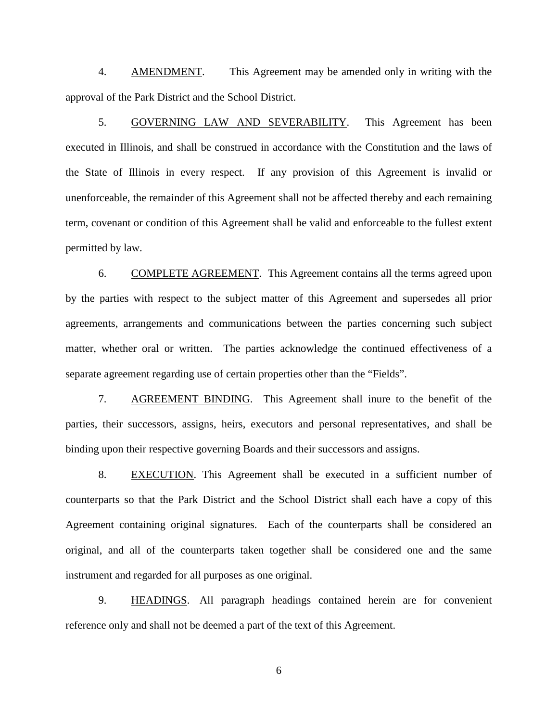4. AMENDMENT. This Agreement may be amended only in writing with the approval of the Park District and the School District.

5. GOVERNING LAW AND SEVERABILITY. This Agreement has been executed in Illinois, and shall be construed in accordance with the Constitution and the laws of the State of Illinois in every respect. If any provision of this Agreement is invalid or unenforceable, the remainder of this Agreement shall not be affected thereby and each remaining term, covenant or condition of this Agreement shall be valid and enforceable to the fullest extent permitted by law.

6. COMPLETE AGREEMENT. This Agreement contains all the terms agreed upon by the parties with respect to the subject matter of this Agreement and supersedes all prior agreements, arrangements and communications between the parties concerning such subject matter, whether oral or written. The parties acknowledge the continued effectiveness of a separate agreement regarding use of certain properties other than the "Fields".

7. AGREEMENT BINDING. This Agreement shall inure to the benefit of the parties, their successors, assigns, heirs, executors and personal representatives, and shall be binding upon their respective governing Boards and their successors and assigns.

8. EXECUTION. This Agreement shall be executed in a sufficient number of counterparts so that the Park District and the School District shall each have a copy of this Agreement containing original signatures. Each of the counterparts shall be considered an original, and all of the counterparts taken together shall be considered one and the same instrument and regarded for all purposes as one original.

9. HEADINGS. All paragraph headings contained herein are for convenient reference only and shall not be deemed a part of the text of this Agreement.

6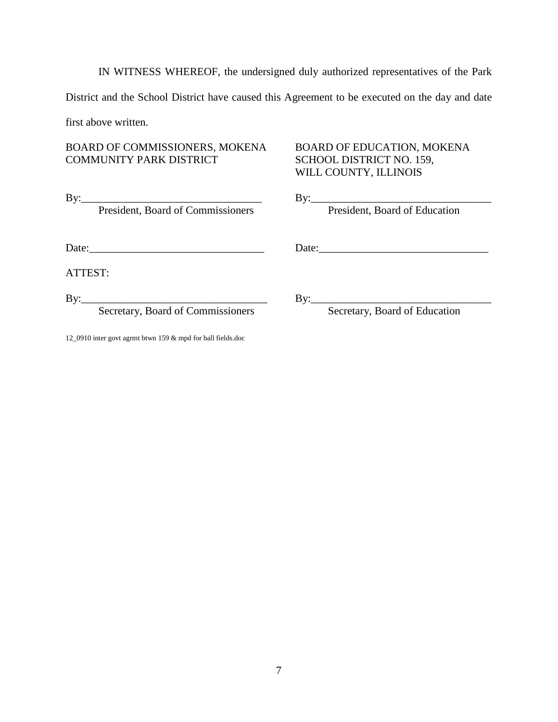IN WITNESS WHEREOF, the undersigned duly authorized representatives of the Park

District and the School District have caused this Agreement to be executed on the day and date

first above written.

## BOARD OF COMMISSIONERS, MOKENA BOARD OF EDUCATION, MOKENA COMMUNITY PARK DISTRICT SCHOOL DISTRICT NO. 159,

By: President, Board of Commissioners By: President, Board of Education President, Board of Commissioners

WILL COUNTY, ILLINOIS

Date:\_\_\_\_\_\_\_\_\_\_\_\_\_\_\_\_\_\_\_\_\_\_\_\_\_\_\_\_\_\_\_\_ Date:\_\_\_\_\_\_\_\_\_\_\_\_\_\_\_\_\_\_\_\_\_\_\_\_\_\_\_\_\_\_\_

ATTEST:

By: Secretary, Board of Commissioners By: Secretary, Board of Education Secretary, Board of Commissioners

12\_0910 inter govt agrmt btwn 159 & mpd for ball fields.doc